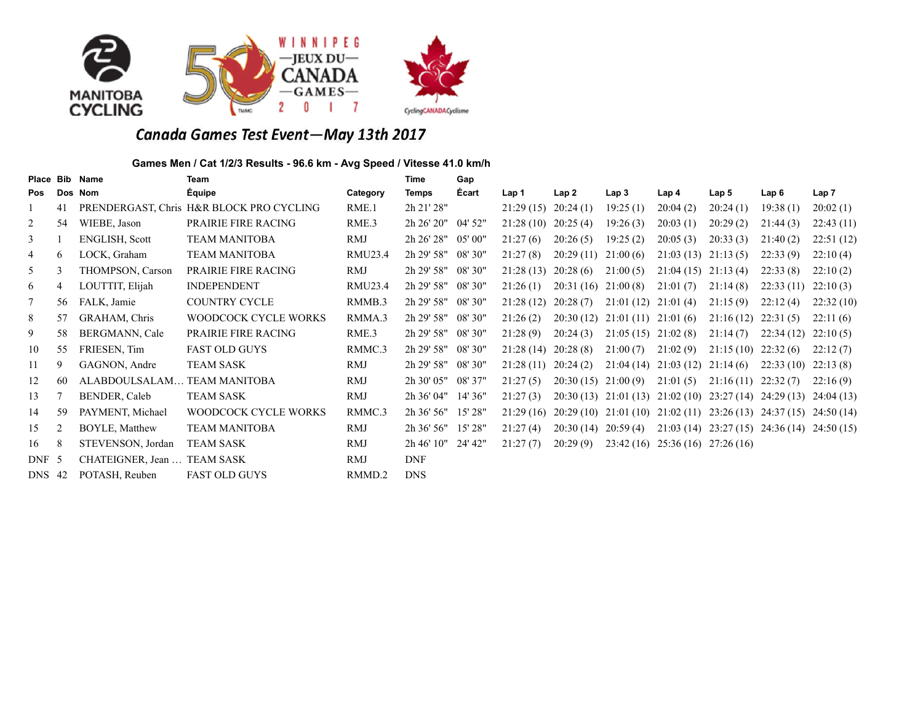



# Canada Games Test Event-May 13th 2017

## **Games Men / Cat 1/2/3 Results - 96.6 km - Avg Speed / Vitesse 41.0 km/h**

| Place Bib      |    | <b>Name</b>                 | <b>Team</b>                              |          | <b>Time</b>   | Gap          |           |           |                        |                                                             |                  |                                                 |                  |
|----------------|----|-----------------------------|------------------------------------------|----------|---------------|--------------|-----------|-----------|------------------------|-------------------------------------------------------------|------------------|-------------------------------------------------|------------------|
| Pos            |    | Dos Nom                     | Équipe                                   | Category | Temps         | <b>Écart</b> | Lap 1     | Lap2      | Lap <sub>3</sub>       | Lap 4                                                       | Lap <sub>5</sub> | Lap 6                                           | Lap <sub>7</sub> |
|                | 41 |                             | PRENDERGAST, Chris H&R BLOCK PRO CYCLING | RME.1    | 2h 21' 28"    |              | 21:29(15) | 20:24(1)  | 19:25(1)               | 20:04(2)                                                    | 20:24(1)         | 19:38(1)                                        | 20:02(1)         |
| 2              | 54 | WIEBE, Jason                | <b>PRAIRIE FIRE RACING</b>               | RME.3    | 2h 26' 20"    | $04'$ 52"    | 21:28(10) | 20:25(4)  | 19:26(3)               | 20:03(1)                                                    | 20:29(2)         | 21:44(3)                                        | 22:43(11)        |
| $\mathfrak{Z}$ |    | <b>ENGLISH, Scott</b>       | <b>TEAM MANITOBA</b>                     | RMJ      | 2h 26' 28"    | 05' 00"      | 21:27(6)  | 20:26(5)  | 19:25(2)               | 20:05(3)                                                    | 20:33(3)         | 21:40(2)                                        | 22:51(12)        |
| $\overline{4}$ | 6  | LOCK, Graham                | <b>TEAM MANITOBA</b>                     | RMU23.4  | 2h 29' 58"    | 08'30"       | 21:27(8)  | 20:29(11) | 21:00(6)               | 21:03(13)                                                   | 21:13(5)         | 22:33(9)                                        | 22:10(4)         |
| 5              | 3  | THOMPSON, Carson            | PRAIRIE FIRE RACING                      | RMJ      | 2h 29' 58"    | 08'30"       | 21:28(13) | 20:28(6)  | 21:00(5)               | $21:04(15)$ $21:13(4)$                                      |                  | 22:33(8)                                        | 22:10(2)         |
| 6              | 4  | LOUTTIT, Elijah             | <b>INDEPENDENT</b>                       | RMU23.4  | 2h 29' 58"    | 08'30"       | 21:26(1)  | 20:31(16) | 21:00(8)               | 21:01(7)                                                    | 21:14(8)         | 22:33(11)                                       | 22:10(3)         |
| $\tau$         | 56 | FALK, Jamie                 | <b>COUNTRY CYCLE</b>                     | RMMB.3   | 2h 29' 58"    | 08'30"       | 21:28(12) | 20:28(7)  | 21:01(12)              | 21:01(4)                                                    | 21:15(9)         | 22:12(4)                                        | 22:32(10)        |
| 8              | 57 | GRAHAM, Chris               | WOODCOCK CYCLE WORKS                     | RMMA.3   | 2h 29' 58"    | 08' 30"      | 21:26(2)  | 20:30(12) | $21:01(11)$ $21:01(6)$ |                                                             | 21:16(12)        | 22:31(5)                                        | 22:11(6)         |
| 9              | 58 | BERGMANN, Cale              | PRAIRIE FIRE RACING                      | RME.3    | 2h 29' 58"    | 08'30"       | 21:28(9)  | 20:24(3)  | $21:05(15)$ $21:02(8)$ |                                                             | 21:14(7)         | 22:34(12)                                       | 22:10(5)         |
| 10             | 55 | FRIESEN, Tim                | <b>FAST OLD GUYS</b>                     | RMMC.3   | 2h 29' 58"    | 08' 30"      | 21:28(14) | 20:28(8)  | 21:00(7)               | 21:02(9)                                                    | 21:15(10)        | 22:32(6)                                        | 22:12(7)         |
| 11             | 9. | GAGNON, Andre               | <b>TEAM SASK</b>                         | RMJ      | 2h 29' 58"    | 08'30"       | 21:28(11) | 20:24(2)  |                        | $21:04(14)$ $21:03(12)$ $21:14(6)$                          |                  | 22:33(10)                                       | 22:13(8)         |
| 12             | 60 | ALABDOULSALAM TEAM MANITOBA |                                          | RMJ      | 2h 30' 05"    | 08' 37"      | 21:27(5)  | 20:30(15) | 21:00(9)               | 21:01(5)                                                    | 21:16(11)        | 22:32(7)                                        | 22:16(9)         |
| 13             |    | BENDER, Caleb               | <b>TEAM SASK</b>                         | RMJ      | 2h 36' 04"    | 14' 36"      | 21:27(3)  |           |                        | 20:30 (13) 21:01 (13) 21:02 (10) 23:27 (14) 24:29 (13)      |                  |                                                 | 24:04(13)        |
| 14             | 59 | PAYMENT, Michael            | WOODCOCK CYCLE WORKS                     | RMMC.3   | $2h\,36'$ 56" | 15'28"       | 21:29(16) |           |                        | $20:29(10)$ $21:01(10)$ $21:02(11)$ $23:26(13)$ $24:37(15)$ |                  |                                                 | 24:50(14)        |
| 15             | 2  | <b>BOYLE, Matthew</b>       | <b>TEAM MANITOBA</b>                     | RMJ      | $2h\,36'$ 56" | 15' 28"      | 21:27(4)  | 20:30(14) | 20:59(4)               |                                                             |                  | $21:03(14)$ $23:27(15)$ $24:36(14)$ $24:50(15)$ |                  |
| 16             | 8  | STEVENSON, Jordan           | <b>TEAM SASK</b>                         | RMJ      | 2h 46' 10''   | 24' 42"      | 21:27(7)  | 20:29(9)  |                        | $23:42(16)$ $25:36(16)$ $27:26(16)$                         |                  |                                                 |                  |
| DNF 5          |    | CHATEIGNER, Jean  TEAM SASK |                                          | RMJ      | <b>DNF</b>    |              |           |           |                        |                                                             |                  |                                                 |                  |
| <b>DNS</b> 42  |    | POTASH, Reuben              | <b>FAST OLD GUYS</b>                     | RMMD.2   | <b>DNS</b>    |              |           |           |                        |                                                             |                  |                                                 |                  |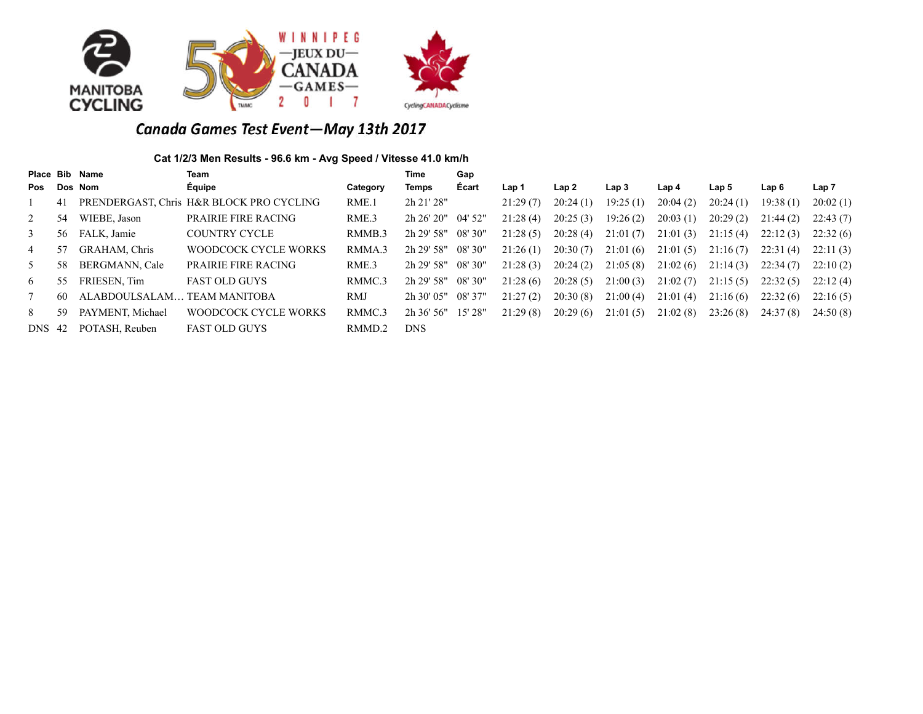

# Canada Games Test Event-May 13th 2017

## **Cat 1/2/3 Men Results - 96.6 km - Avg Speed / Vitesse 41.0 km/h**

|                |    | Place Bib Name   | Team                                     |          | Time          | Gap       |          |          |                  |          |          |          |          |
|----------------|----|------------------|------------------------------------------|----------|---------------|-----------|----------|----------|------------------|----------|----------|----------|----------|
| Pos            |    | Dos Nom          | Équipe                                   | Category | Temps         | Écart     | Lap 1    | Lap 2    | Lap <sub>3</sub> | Lap 4    | Lap 5    | Lap 6    | Lap 7    |
|                | 41 |                  | PRENDERGAST, Chris H&R BLOCK PRO CYCLING | RME.1    | 2h 21' 28"    |           | 21:29(7) | 20:24(1) | 19:25(1)         | 20:04(2) | 20:24(1) | 19:38(1) | 20:02(1) |
| 2              | 54 | WIEBE, Jason     | <b>PRAIRIE FIRE RACING</b>               | RME.3    | 2h 26' 20''   | $04'$ 52" | 21:28(4) | 20:25(3) | 19:26(2)         | 20:03(1) | 20:29(2) | 21:44(2) | 22:43(7) |
| 3              | 56 | FALK, Jamie      | <b>COUNTRY CYCLE</b>                     | RMMB.3   | 2h 29' 58"    | 08' 30"   | 21:28(5) | 20:28(4) | 21:01(7)         | 21:01(3) | 21:15(4) | 22:12(3) | 22:32(6) |
| $\overline{4}$ | 57 | GRAHAM, Chris    | <b>WOODCOCK CYCLE WORKS</b>              | RMMA.3   | 2h 29' 58"    | 08'30''   | 21:26(1) | 20:30(7) | 21:01(6)         | 21:01(5) | 21:16(7) | 22:31(4) | 22:11(3) |
| 5              | 58 | BERGMANN, Cale   | PRAIRIE FIRE RACING                      | RME.3    | 2h 29' 58''   | 08' 30"   | 21:28(3) | 20:24(2) | 21:05(8)         | 21:02(6) | 21:14(3) | 22:34(7) | 22:10(2) |
| 6              | 55 | FRIESEN, Tim     | <b>FAST OLD GUYS</b>                     | RMMC.3   | 2h 29' 58"    | 08' 30"   | 21:28(6) | 20:28(5) | 21:00(3)         | 21:02(7) | 21:15(5) | 22:32(5) | 22:12(4) |
|                | 60 | ALABDOULSALAM.   | <b>TEAM MANITOBA</b>                     | RMJ      | $2h$ 30' 05"  | 08' 37"   | 21:27(2) | 20:30(8) | 21:00(4)         | 21:01(4) | 21:16(6) | 22:32(6) | 22:16(5) |
| 8              | 59 | PAYMENT, Michael | WOODCOCK CYCLE WORKS                     | RMMC.3   | $2h\,36'$ 56" | 15'28"    | 21:29(8) | 20:29(6) | 21:01(5)         | 21:02(8) | 23:26(8) | 24:37(8) | 24:50(8) |
| <b>DNS</b> 42  |    | POTASH, Reuben   | <b>FAST OLD GUYS</b>                     | RMMD.2   | <b>DNS</b>    |           |          |          |                  |          |          |          |          |